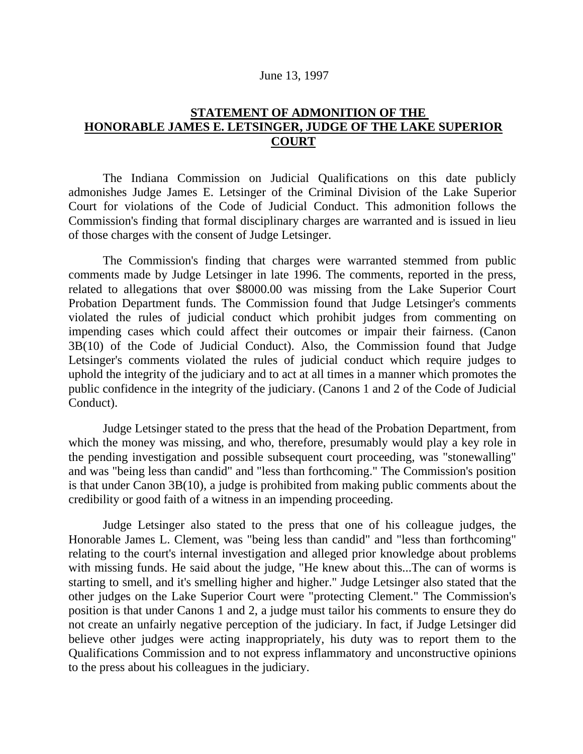## June 13, 1997

## **STATEMENT OF ADMONITION OF THE HONORABLE JAMES E. LETSINGER, JUDGE OF THE LAKE SUPERIOR COURT**

The Indiana Commission on Judicial Qualifications on this date publicly admonishes Judge James E. Letsinger of the Criminal Division of the Lake Superior Court for violations of the Code of Judicial Conduct. This admonition follows the Commission's finding that formal disciplinary charges are warranted and is issued in lieu of those charges with the consent of Judge Letsinger.

The Commission's finding that charges were warranted stemmed from public comments made by Judge Letsinger in late 1996. The comments, reported in the press, related to allegations that over \$8000.00 was missing from the Lake Superior Court Probation Department funds. The Commission found that Judge Letsinger's comments violated the rules of judicial conduct which prohibit judges from commenting on impending cases which could affect their outcomes or impair their fairness. (Canon 3B(10) of the Code of Judicial Conduct). Also, the Commission found that Judge Letsinger's comments violated the rules of judicial conduct which require judges to uphold the integrity of the judiciary and to act at all times in a manner which promotes the public confidence in the integrity of the judiciary. (Canons 1 and 2 of the Code of Judicial Conduct).

Judge Letsinger stated to the press that the head of the Probation Department, from which the money was missing, and who, therefore, presumably would play a key role in the pending investigation and possible subsequent court proceeding, was "stonewalling" and was "being less than candid" and "less than forthcoming." The Commission's position is that under Canon 3B(10), a judge is prohibited from making public comments about the credibility or good faith of a witness in an impending proceeding.

Judge Letsinger also stated to the press that one of his colleague judges, the Honorable James L. Clement, was "being less than candid" and "less than forthcoming" relating to the court's internal investigation and alleged prior knowledge about problems with missing funds. He said about the judge, "He knew about this...The can of worms is starting to smell, and it's smelling higher and higher." Judge Letsinger also stated that the other judges on the Lake Superior Court were "protecting Clement." The Commission's position is that under Canons 1 and 2, a judge must tailor his comments to ensure they do not create an unfairly negative perception of the judiciary. In fact, if Judge Letsinger did believe other judges were acting inappropriately, his duty was to report them to the Qualifications Commission and to not express inflammatory and unconstructive opinions to the press about his colleagues in the judiciary.